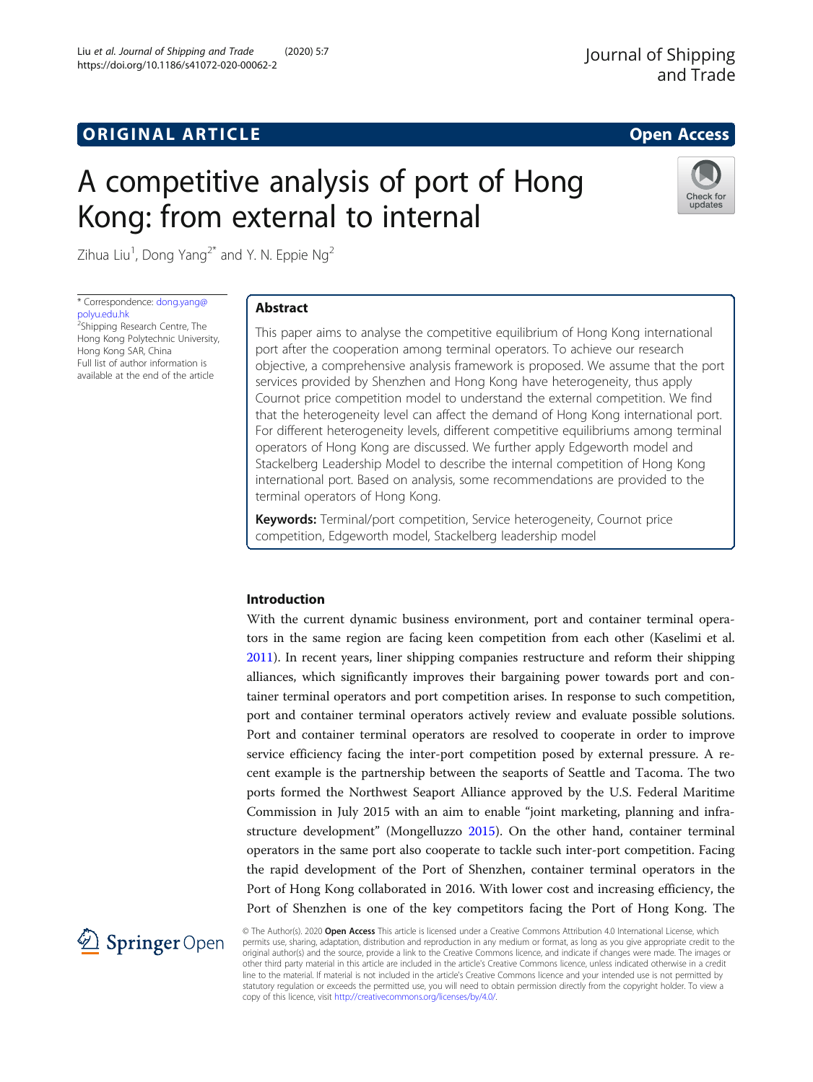https://doi.org/10.1186/s41072-020-00062-2

# A competitive analysis of port of Hong Kong: from external to internal



Zihua Liu<sup>1</sup>, Dong Yang<sup>2\*</sup> and Y. N. Eppie Ng<sup>2</sup>

Liu et al. Journal of Shipping and Trade (2020) 5:7

\* Correspondence: [dong.yang@](mailto:dong.yang@polyu.edu.hk) [polyu.edu.hk](mailto:dong.yang@polyu.edu.hk)

<sup>2</sup>Shipping Research Centre, The Hong Kong Polytechnic University, Hong Kong SAR, China Full list of author information is available at the end of the article

# Abstract

This paper aims to analyse the competitive equilibrium of Hong Kong international port after the cooperation among terminal operators. To achieve our research objective, a comprehensive analysis framework is proposed. We assume that the port services provided by Shenzhen and Hong Kong have heterogeneity, thus apply Cournot price competition model to understand the external competition. We find that the heterogeneity level can affect the demand of Hong Kong international port. For different heterogeneity levels, different competitive equilibriums among terminal operators of Hong Kong are discussed. We further apply Edgeworth model and Stackelberg Leadership Model to describe the internal competition of Hong Kong international port. Based on analysis, some recommendations are provided to the terminal operators of Hong Kong.

Keywords: Terminal/port competition, Service heterogeneity, Cournot price competition, Edgeworth model, Stackelberg leadership model

# Introduction

With the current dynamic business environment, port and container terminal operators in the same region are facing keen competition from each other (Kaselimi et al. [2011](#page-16-0)). In recent years, liner shipping companies restructure and reform their shipping alliances, which significantly improves their bargaining power towards port and container terminal operators and port competition arises. In response to such competition, port and container terminal operators actively review and evaluate possible solutions. Port and container terminal operators are resolved to cooperate in order to improve service efficiency facing the inter-port competition posed by external pressure. A recent example is the partnership between the seaports of Seattle and Tacoma. The two ports formed the Northwest Seaport Alliance approved by the U.S. Federal Maritime Commission in July 2015 with an aim to enable "joint marketing, planning and infrastructure development" (Mongelluzzo [2015](#page-16-0)). On the other hand, container terminal operators in the same port also cooperate to tackle such inter-port competition. Facing the rapid development of the Port of Shenzhen, container terminal operators in the Port of Hong Kong collaborated in 2016. With lower cost and increasing efficiency, the Port of Shenzhen is one of the key competitors facing the Port of Hong Kong. The



© The Author(s). 2020 Open Access This article is licensed under a Creative Commons Attribution 4.0 International License, which permits use, sharing, adaptation, distribution and reproduction in any medium or format, as long as you give appropriate credit to the original author(s) and the source, provide a link to the Creative Commons licence, and indicate if changes were made. The images or other third party material in this article are included in the article's Creative Commons licence, unless indicated otherwise in a credit line to the material. If material is not included in the article's Creative Commons licence and your intended use is not permitted by statutory regulation or exceeds the permitted use, you will need to obtain permission directly from the copyright holder. To view a copy of this licence, visit <http://creativecommons.org/licenses/by/4.0/>.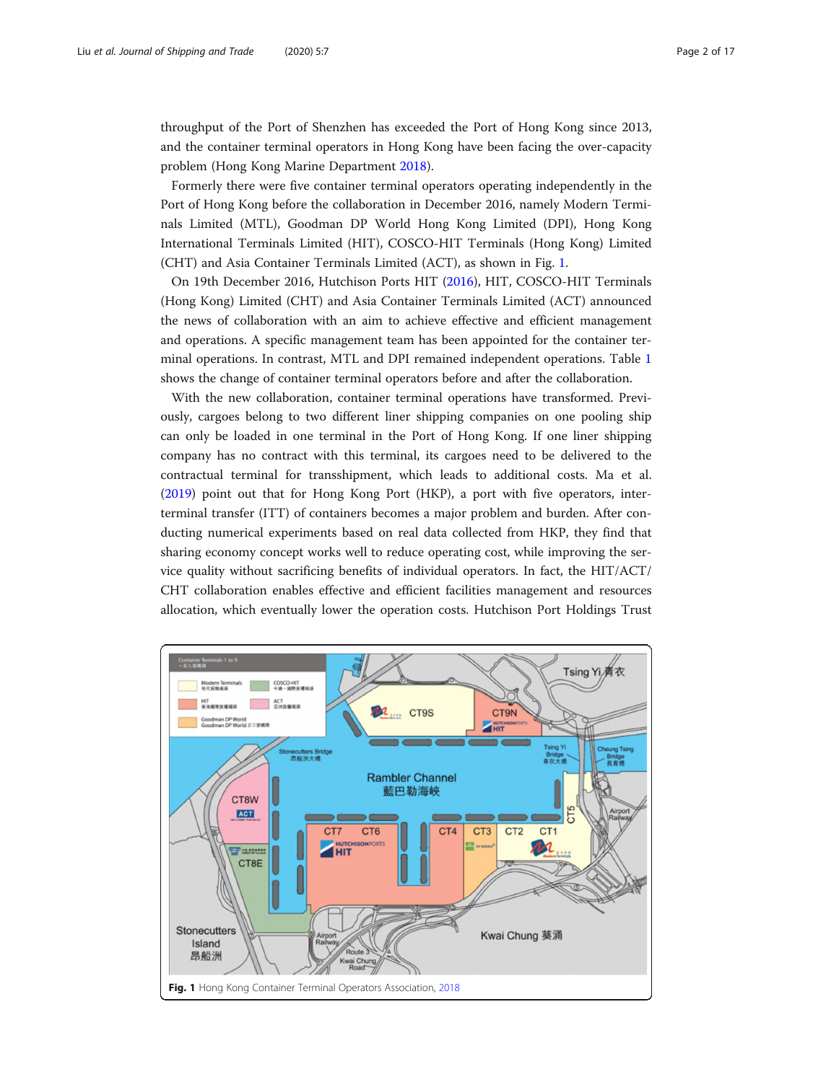throughput of the Port of Shenzhen has exceeded the Port of Hong Kong since 2013, and the container terminal operators in Hong Kong have been facing the over-capacity problem (Hong Kong Marine Department [2018\)](#page-16-0).

Formerly there were five container terminal operators operating independently in the Port of Hong Kong before the collaboration in December 2016, namely Modern Terminals Limited (MTL), Goodman DP World Hong Kong Limited (DPI), Hong Kong International Terminals Limited (HIT), COSCO-HIT Terminals (Hong Kong) Limited (CHT) and Asia Container Terminals Limited (ACT), as shown in Fig. 1.

On 19th December 2016, Hutchison Ports HIT [\(2016](#page-16-0)), HIT, COSCO-HIT Terminals (Hong Kong) Limited (CHT) and Asia Container Terminals Limited (ACT) announced the news of collaboration with an aim to achieve effective and efficient management and operations. A specific management team has been appointed for the container terminal operations. In contrast, MTL and DPI remained independent operations. Table [1](#page-2-0) shows the change of container terminal operators before and after the collaboration.

With the new collaboration, container terminal operations have transformed. Previously, cargoes belong to two different liner shipping companies on one pooling ship can only be loaded in one terminal in the Port of Hong Kong. If one liner shipping company has no contract with this terminal, its cargoes need to be delivered to the contractual terminal for transshipment, which leads to additional costs. Ma et al. ([2019](#page-16-0)) point out that for Hong Kong Port (HKP), a port with five operators, interterminal transfer (ITT) of containers becomes a major problem and burden. After conducting numerical experiments based on real data collected from HKP, they find that sharing economy concept works well to reduce operating cost, while improving the service quality without sacrificing benefits of individual operators. In fact, the HIT/ACT/ CHT collaboration enables effective and efficient facilities management and resources allocation, which eventually lower the operation costs. Hutchison Port Holdings Trust

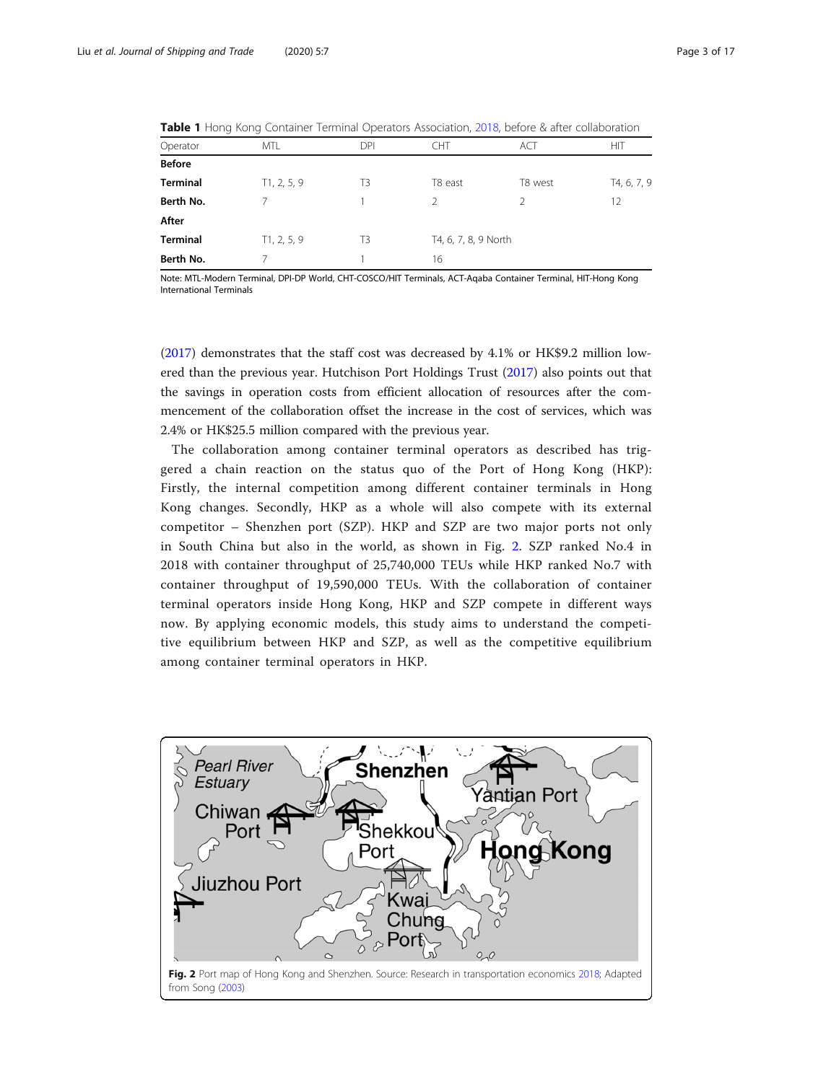| Operator        | MTL         | <b>DPI</b>     | <b>CHT</b> | ACT                  | <b>HIT</b>  |  |  |
|-----------------|-------------|----------------|------------|----------------------|-------------|--|--|
| <b>Before</b>   |             |                |            |                      |             |  |  |
| <b>Terminal</b> | T1, 2, 5, 9 | T <sub>3</sub> | T8 east    | T8 west              | T4, 6, 7, 9 |  |  |
| Berth No.       |             |                | 2          |                      | 12          |  |  |
| After           |             |                |            |                      |             |  |  |
| <b>Terminal</b> | T1, 2, 5, 9 | T <sub>3</sub> |            | T4, 6, 7, 8, 9 North |             |  |  |
| Berth No.       |             |                | 16         |                      |             |  |  |

<span id="page-2-0"></span>**Table 1** Hong Kong Container Terminal Operators Association, [2018](#page-16-0), before & after collaboration

Note: MTL-Modern Terminal, DPI-DP World, CHT-COSCO/HIT Terminals, ACT-Aqaba Container Terminal, HIT-Hong Kong International Terminals

([2017](#page-16-0)) demonstrates that the staff cost was decreased by 4.1% or HK\$9.2 million lowered than the previous year. Hutchison Port Holdings Trust [\(2017](#page-16-0)) also points out that the savings in operation costs from efficient allocation of resources after the commencement of the collaboration offset the increase in the cost of services, which was 2.4% or HK\$25.5 million compared with the previous year.

The collaboration among container terminal operators as described has triggered a chain reaction on the status quo of the Port of Hong Kong (HKP): Firstly, the internal competition among different container terminals in Hong Kong changes. Secondly, HKP as a whole will also compete with its external competitor – Shenzhen port (SZP). HKP and SZP are two major ports not only in South China but also in the world, as shown in Fig. 2. SZP ranked No.4 in 2018 with container throughput of 25,740,000 TEUs while HKP ranked No.7 with container throughput of 19,590,000 TEUs. With the collaboration of container terminal operators inside Hong Kong, HKP and SZP compete in different ways now. By applying economic models, this study aims to understand the competitive equilibrium between HKP and SZP, as well as the competitive equilibrium among container terminal operators in HKP.

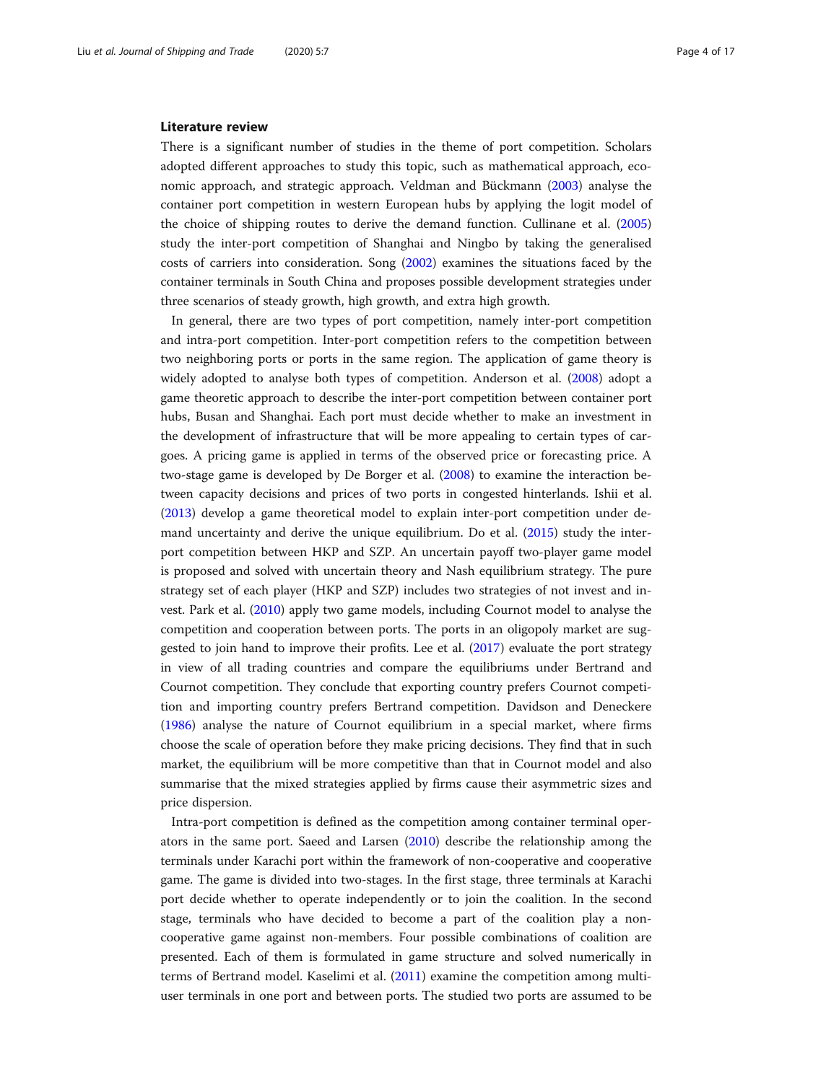#### Literature review

There is a significant number of studies in the theme of port competition. Scholars adopted different approaches to study this topic, such as mathematical approach, economic approach, and strategic approach. Veldman and Bückmann [\(2003\)](#page-16-0) analyse the container port competition in western European hubs by applying the logit model of the choice of shipping routes to derive the demand function. Cullinane et al. ([2005](#page-16-0)) study the inter-port competition of Shanghai and Ningbo by taking the generalised costs of carriers into consideration. Song [\(2002\)](#page-16-0) examines the situations faced by the container terminals in South China and proposes possible development strategies under three scenarios of steady growth, high growth, and extra high growth.

In general, there are two types of port competition, namely inter-port competition and intra-port competition. Inter-port competition refers to the competition between two neighboring ports or ports in the same region. The application of game theory is widely adopted to analyse both types of competition. Anderson et al. ([2008\)](#page-16-0) adopt a game theoretic approach to describe the inter-port competition between container port hubs, Busan and Shanghai. Each port must decide whether to make an investment in the development of infrastructure that will be more appealing to certain types of cargoes. A pricing game is applied in terms of the observed price or forecasting price. A two-stage game is developed by De Borger et al. [\(2008\)](#page-16-0) to examine the interaction between capacity decisions and prices of two ports in congested hinterlands. Ishii et al. ([2013](#page-16-0)) develop a game theoretical model to explain inter-port competition under demand uncertainty and derive the unique equilibrium. Do et al. [\(2015\)](#page-16-0) study the interport competition between HKP and SZP. An uncertain payoff two-player game model is proposed and solved with uncertain theory and Nash equilibrium strategy. The pure strategy set of each player (HKP and SZP) includes two strategies of not invest and invest. Park et al. [\(2010\)](#page-16-0) apply two game models, including Cournot model to analyse the competition and cooperation between ports. The ports in an oligopoly market are suggested to join hand to improve their profits. Lee et al. ([2017\)](#page-16-0) evaluate the port strategy in view of all trading countries and compare the equilibriums under Bertrand and Cournot competition. They conclude that exporting country prefers Cournot competition and importing country prefers Bertrand competition. Davidson and Deneckere ([1986](#page-16-0)) analyse the nature of Cournot equilibrium in a special market, where firms choose the scale of operation before they make pricing decisions. They find that in such market, the equilibrium will be more competitive than that in Cournot model and also summarise that the mixed strategies applied by firms cause their asymmetric sizes and price dispersion.

Intra-port competition is defined as the competition among container terminal operators in the same port. Saeed and Larsen ([2010](#page-16-0)) describe the relationship among the terminals under Karachi port within the framework of non-cooperative and cooperative game. The game is divided into two-stages. In the first stage, three terminals at Karachi port decide whether to operate independently or to join the coalition. In the second stage, terminals who have decided to become a part of the coalition play a noncooperative game against non-members. Four possible combinations of coalition are presented. Each of them is formulated in game structure and solved numerically in terms of Bertrand model. Kaselimi et al. [\(2011](#page-16-0)) examine the competition among multiuser terminals in one port and between ports. The studied two ports are assumed to be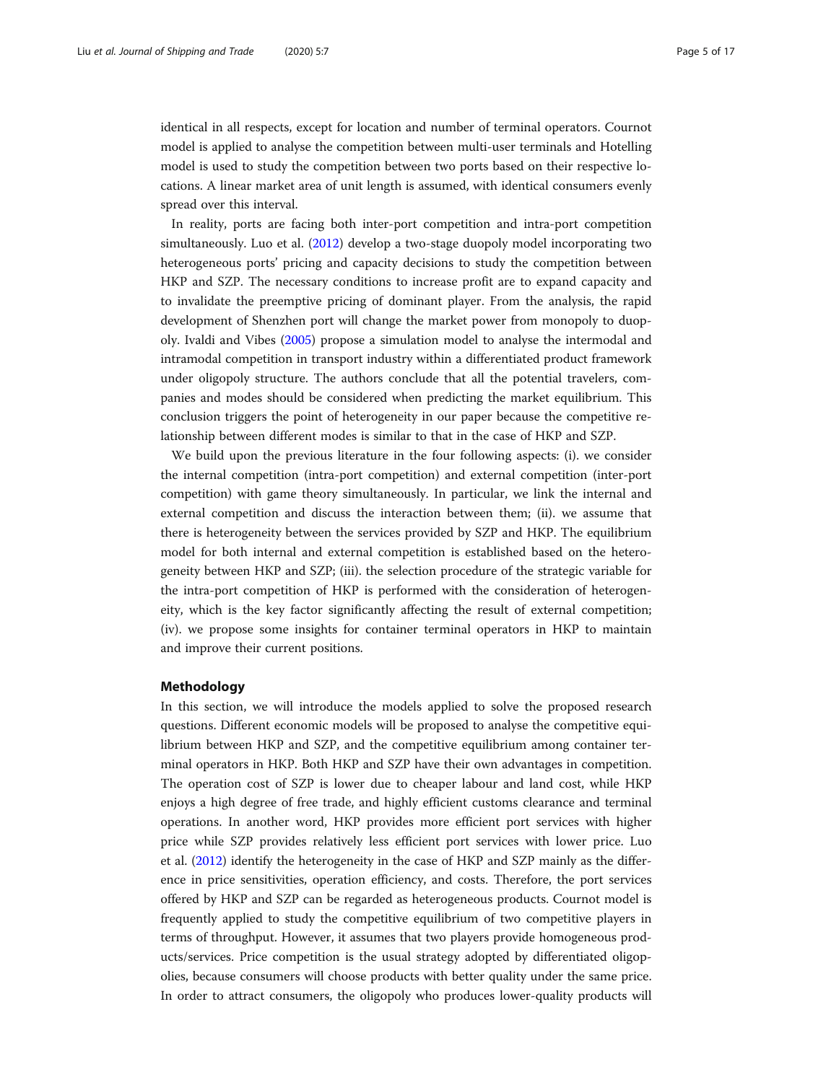identical in all respects, except for location and number of terminal operators. Cournot model is applied to analyse the competition between multi-user terminals and Hotelling model is used to study the competition between two ports based on their respective locations. A linear market area of unit length is assumed, with identical consumers evenly spread over this interval.

In reality, ports are facing both inter-port competition and intra-port competition simultaneously. Luo et al. [\(2012\)](#page-16-0) develop a two-stage duopoly model incorporating two heterogeneous ports' pricing and capacity decisions to study the competition between HKP and SZP. The necessary conditions to increase profit are to expand capacity and to invalidate the preemptive pricing of dominant player. From the analysis, the rapid development of Shenzhen port will change the market power from monopoly to duopoly. Ivaldi and Vibes ([2005](#page-16-0)) propose a simulation model to analyse the intermodal and intramodal competition in transport industry within a differentiated product framework under oligopoly structure. The authors conclude that all the potential travelers, companies and modes should be considered when predicting the market equilibrium. This conclusion triggers the point of heterogeneity in our paper because the competitive relationship between different modes is similar to that in the case of HKP and SZP.

We build upon the previous literature in the four following aspects: (i). we consider the internal competition (intra-port competition) and external competition (inter-port competition) with game theory simultaneously. In particular, we link the internal and external competition and discuss the interaction between them; (ii). we assume that there is heterogeneity between the services provided by SZP and HKP. The equilibrium model for both internal and external competition is established based on the heterogeneity between HKP and SZP; (iii). the selection procedure of the strategic variable for the intra-port competition of HKP is performed with the consideration of heterogeneity, which is the key factor significantly affecting the result of external competition; (iv). we propose some insights for container terminal operators in HKP to maintain and improve their current positions.

#### Methodology

In this section, we will introduce the models applied to solve the proposed research questions. Different economic models will be proposed to analyse the competitive equilibrium between HKP and SZP, and the competitive equilibrium among container terminal operators in HKP. Both HKP and SZP have their own advantages in competition. The operation cost of SZP is lower due to cheaper labour and land cost, while HKP enjoys a high degree of free trade, and highly efficient customs clearance and terminal operations. In another word, HKP provides more efficient port services with higher price while SZP provides relatively less efficient port services with lower price. Luo et al. [\(2012](#page-16-0)) identify the heterogeneity in the case of HKP and SZP mainly as the difference in price sensitivities, operation efficiency, and costs. Therefore, the port services offered by HKP and SZP can be regarded as heterogeneous products. Cournot model is frequently applied to study the competitive equilibrium of two competitive players in terms of throughput. However, it assumes that two players provide homogeneous products/services. Price competition is the usual strategy adopted by differentiated oligopolies, because consumers will choose products with better quality under the same price. In order to attract consumers, the oligopoly who produces lower-quality products will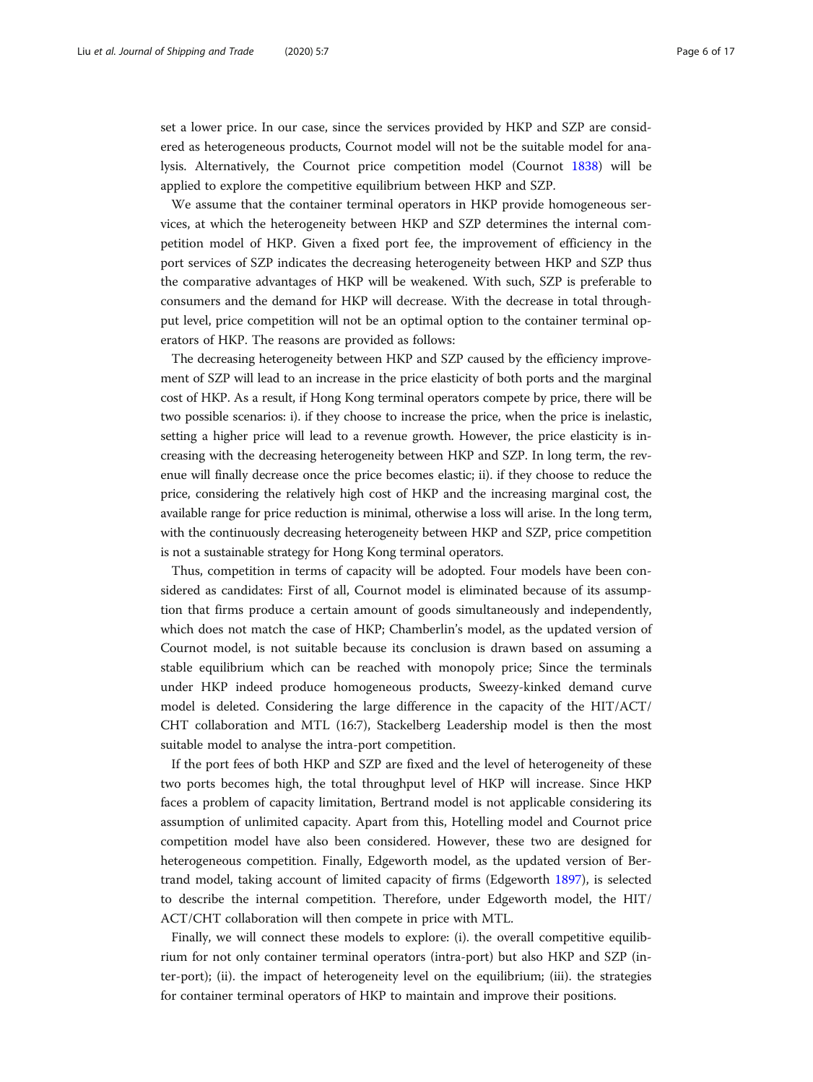set a lower price. In our case, since the services provided by HKP and SZP are considered as heterogeneous products, Cournot model will not be the suitable model for analysis. Alternatively, the Cournot price competition model (Cournot [1838\)](#page-16-0) will be applied to explore the competitive equilibrium between HKP and SZP.

We assume that the container terminal operators in HKP provide homogeneous services, at which the heterogeneity between HKP and SZP determines the internal competition model of HKP. Given a fixed port fee, the improvement of efficiency in the port services of SZP indicates the decreasing heterogeneity between HKP and SZP thus the comparative advantages of HKP will be weakened. With such, SZP is preferable to consumers and the demand for HKP will decrease. With the decrease in total throughput level, price competition will not be an optimal option to the container terminal operators of HKP. The reasons are provided as follows:

The decreasing heterogeneity between HKP and SZP caused by the efficiency improvement of SZP will lead to an increase in the price elasticity of both ports and the marginal cost of HKP. As a result, if Hong Kong terminal operators compete by price, there will be two possible scenarios: i). if they choose to increase the price, when the price is inelastic, setting a higher price will lead to a revenue growth. However, the price elasticity is increasing with the decreasing heterogeneity between HKP and SZP. In long term, the revenue will finally decrease once the price becomes elastic; ii). if they choose to reduce the price, considering the relatively high cost of HKP and the increasing marginal cost, the available range for price reduction is minimal, otherwise a loss will arise. In the long term, with the continuously decreasing heterogeneity between HKP and SZP, price competition is not a sustainable strategy for Hong Kong terminal operators.

Thus, competition in terms of capacity will be adopted. Four models have been considered as candidates: First of all, Cournot model is eliminated because of its assumption that firms produce a certain amount of goods simultaneously and independently, which does not match the case of HKP; Chamberlin's model, as the updated version of Cournot model, is not suitable because its conclusion is drawn based on assuming a stable equilibrium which can be reached with monopoly price; Since the terminals under HKP indeed produce homogeneous products, Sweezy-kinked demand curve model is deleted. Considering the large difference in the capacity of the HIT/ACT/ CHT collaboration and MTL (16:7), Stackelberg Leadership model is then the most suitable model to analyse the intra-port competition.

If the port fees of both HKP and SZP are fixed and the level of heterogeneity of these two ports becomes high, the total throughput level of HKP will increase. Since HKP faces a problem of capacity limitation, Bertrand model is not applicable considering its assumption of unlimited capacity. Apart from this, Hotelling model and Cournot price competition model have also been considered. However, these two are designed for heterogeneous competition. Finally, Edgeworth model, as the updated version of Bertrand model, taking account of limited capacity of firms (Edgeworth [1897](#page-16-0)), is selected to describe the internal competition. Therefore, under Edgeworth model, the HIT/ ACT/CHT collaboration will then compete in price with MTL.

Finally, we will connect these models to explore: (i). the overall competitive equilibrium for not only container terminal operators (intra-port) but also HKP and SZP (inter-port); (ii). the impact of heterogeneity level on the equilibrium; (iii). the strategies for container terminal operators of HKP to maintain and improve their positions.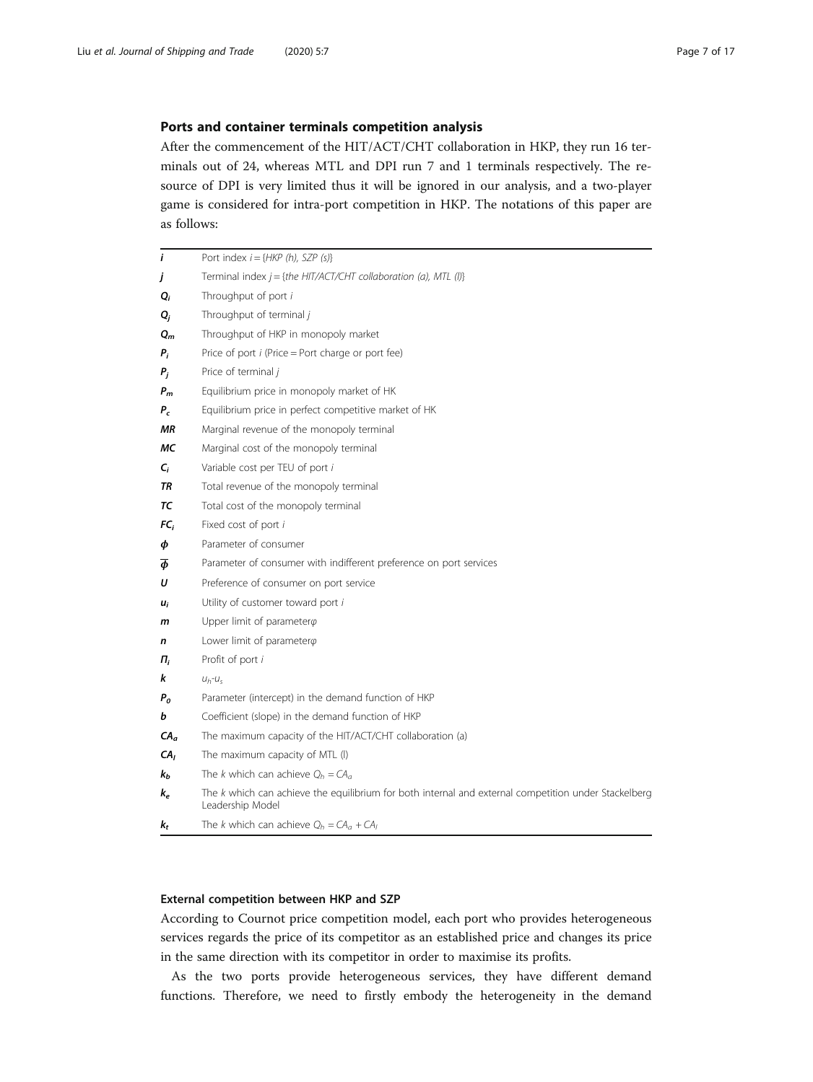# Ports and container terminals competition analysis

After the commencement of the HIT/ACT/CHT collaboration in HKP, they run 16 terminals out of 24, whereas MTL and DPI run 7 and 1 terminals respectively. The resource of DPI is very limited thus it will be ignored in our analysis, and a two-player game is considered for intra-port competition in HKP. The notations of this paper are as follows:

| i                    | Port index $i = \{HKP(h), SZP(s)\}$                                                                                      |
|----------------------|--------------------------------------------------------------------------------------------------------------------------|
| j                    | Terminal index $j = \{$ the HIT/ACT/CHT collaboration (a), MTL (l) $\}$                                                  |
| Q,                   | Throughput of port i                                                                                                     |
| $Q_i$                | Throughput of terminal j                                                                                                 |
| $Q_m$                | Throughput of HKP in monopoly market                                                                                     |
| $P_i$                | Price of port $i$ (Price = Port charge or port fee)                                                                      |
| $P_i$                | Price of terminal j                                                                                                      |
| $P_m$                | Equilibrium price in monopoly market of HK                                                                               |
| $P_c$                | Equilibrium price in perfect competitive market of HK                                                                    |
| ΜR                   | Marginal revenue of the monopoly terminal                                                                                |
| МC                   | Marginal cost of the monopoly terminal                                                                                   |
| $\mathsf{C}_i$       | Variable cost per TEU of port i                                                                                          |
| TR                   | Total revenue of the monopoly terminal                                                                                   |
| тс                   | Total cost of the monopoly terminal                                                                                      |
| FC,                  | Fixed cost of port i                                                                                                     |
| φ                    | Parameter of consumer                                                                                                    |
| φ                    | Parameter of consumer with indifferent preference on port services                                                       |
| U                    | Preference of consumer on port service                                                                                   |
| U <sub>i</sub>       | Utility of customer toward port i                                                                                        |
| m                    | Upper limit of parameter $\varphi$                                                                                       |
| n                    | Lower limit of parameter $\varphi$                                                                                       |
| $\boldsymbol{\Pi_i}$ | Profit of port i                                                                                                         |
| k                    | $U_h-U_s$                                                                                                                |
| $P_o$                | Parameter (intercept) in the demand function of HKP                                                                      |
| b                    | Coefficient (slope) in the demand function of HKP                                                                        |
| CA <sub>a</sub>      | The maximum capacity of the HIT/ACT/CHT collaboration (a)                                                                |
| CA,                  | The maximum capacity of MTL (I)                                                                                          |
| kь                   | The k which can achieve $Q_h = CA_a$                                                                                     |
| k,                   | The k which can achieve the equilibrium for both internal and external competition under Stackelberg<br>Leadership Model |
| k,                   | The k which can achieve $Q_h = CA_a + CA_l$                                                                              |

#### External competition between HKP and SZP

According to Cournot price competition model, each port who provides heterogeneous services regards the price of its competitor as an established price and changes its price in the same direction with its competitor in order to maximise its profits.

As the two ports provide heterogeneous services, they have different demand functions. Therefore, we need to firstly embody the heterogeneity in the demand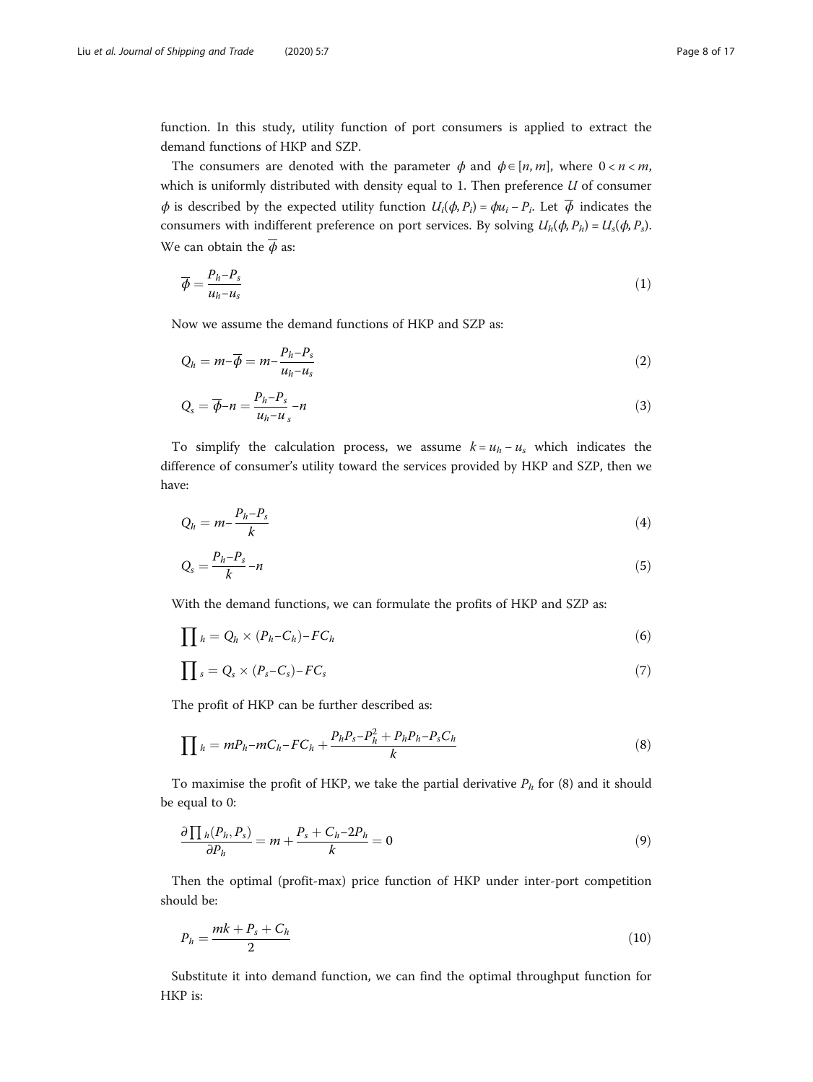<span id="page-7-0"></span>function. In this study, utility function of port consumers is applied to extract the demand functions of HKP and SZP.

The consumers are denoted with the parameter  $\phi$  and  $\phi \in [n, m]$ , where  $0 < n < m$ , which is uniformly distributed with density equal to 1. Then preference  $U$  of consumer  $\phi$  is described by the expected utility function  $U_i(\phi, P_i) = \phi u_i - P_i$ . Let  $\overline{\phi}$  indicates the consumers with indifferent preference on port services. By solving  $U_h(\phi, P_h) = U_s(\phi, P_s)$ . We can obtain the  $\overline{\phi}$  as:

$$
\overline{\phi} = \frac{P_h - P_s}{u_h - u_s} \tag{1}
$$

Now we assume the demand functions of HKP and SZP as:

$$
Q_h = m - \overline{\phi} = m - \frac{P_h - P_s}{u_h - u_s} \tag{2}
$$

$$
Q_s = \overline{\phi} - n = \frac{P_h - P_s}{u_h - u_s} - n \tag{3}
$$

To simplify the calculation process, we assume  $k = u_h - u_s$  which indicates the difference of consumer's utility toward the services provided by HKP and SZP, then we have:

$$
Q_h = m - \frac{P_h - P_s}{k} \tag{4}
$$

$$
Q_s = \frac{P_h - P_s}{k} - n \tag{5}
$$

With the demand functions, we can formulate the profits of HKP and SZP as:

$$
\prod_{h} = Q_h \times (P_h - C_h) - FC_h \tag{6}
$$

$$
\prod_{s} = Q_{s} \times (P_{s} - C_{s}) - FC_{s} \tag{7}
$$

The profit of HKP can be further described as:

$$
\prod_{h} = mP_h - mC_h - FC_h + \frac{P_h P_s - P_h^2 + P_h P_h - P_s C_h}{k}
$$
\n(8)

To maximise the profit of HKP, we take the partial derivative  $P_h$  for (8) and it should be equal to 0:

$$
\frac{\partial \prod_{h}(P_h, P_s)}{\partial P_h} = m + \frac{P_s + C_h - 2P_h}{k} = 0
$$
\n(9)

Then the optimal (profit-max) price function of HKP under inter-port competition should be:

$$
P_h = \frac{mk + P_s + C_h}{2} \tag{10}
$$

Substitute it into demand function, we can find the optimal throughput function for HKP is: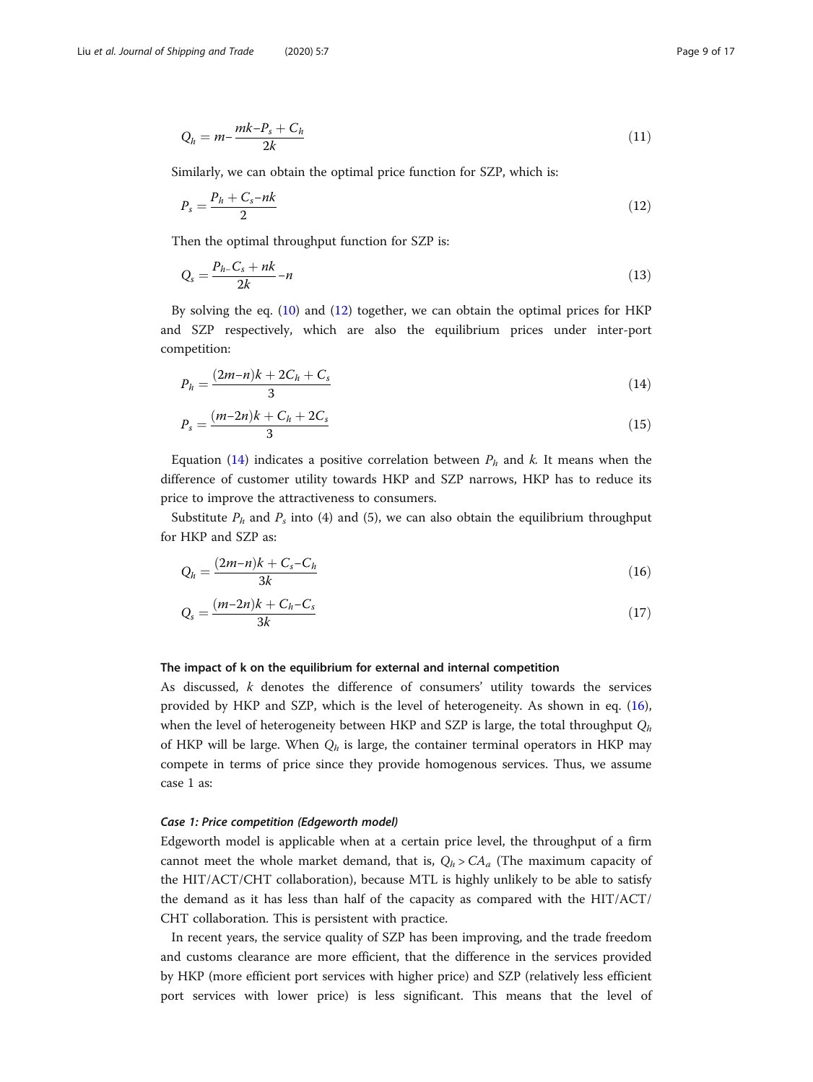<span id="page-8-0"></span>
$$
Q_h = m - \frac{mk - P_s + C_h}{2k} \tag{11}
$$

Similarly, we can obtain the optimal price function for SZP, which is:

$$
P_s = \frac{P_h + C_s - nk}{2} \tag{12}
$$

Then the optimal throughput function for SZP is:

$$
Q_s = \frac{P_h - C_s + nk}{2k} - n \tag{13}
$$

By solving the eq. ([10\)](#page-7-0) and (12) together, we can obtain the optimal prices for HKP and SZP respectively, which are also the equilibrium prices under inter-port competition:

$$
P_h = \frac{(2m-n)k + 2C_h + C_s}{3} \tag{14}
$$

$$
P_s = \frac{(m-2n)k + C_h + 2C_s}{3}
$$
\n(15)

Equation (14) indicates a positive correlation between  $P_h$  and k. It means when the difference of customer utility towards HKP and SZP narrows, HKP has to reduce its price to improve the attractiveness to consumers.

Substitute  $P_h$  and  $P_s$  into (4) and (5), we can also obtain the equilibrium throughput for HKP and SZP as:

$$
Q_h = \frac{(2m-n)k + C_s - C_h}{3k} \tag{16}
$$

$$
Q_s = \frac{(m-2n)k + C_h - C_s}{3k} \tag{17}
$$

### The impact of k on the equilibrium for external and internal competition

As discussed, k denotes the difference of consumers' utility towards the services provided by HKP and SZP, which is the level of heterogeneity. As shown in eq. (16), when the level of heterogeneity between HKP and SZP is large, the total throughput  $Q_h$ of HKP will be large. When  $Q_h$  is large, the container terminal operators in HKP may compete in terms of price since they provide homogenous services. Thus, we assume case 1 as:

# Case 1: Price competition (Edgeworth model)

Edgeworth model is applicable when at a certain price level, the throughput of a firm cannot meet the whole market demand, that is,  $Q_h > CA_a$  (The maximum capacity of the HIT/ACT/CHT collaboration), because MTL is highly unlikely to be able to satisfy the demand as it has less than half of the capacity as compared with the HIT/ACT/ CHT collaboration. This is persistent with practice.

In recent years, the service quality of SZP has been improving, and the trade freedom and customs clearance are more efficient, that the difference in the services provided by HKP (more efficient port services with higher price) and SZP (relatively less efficient port services with lower price) is less significant. This means that the level of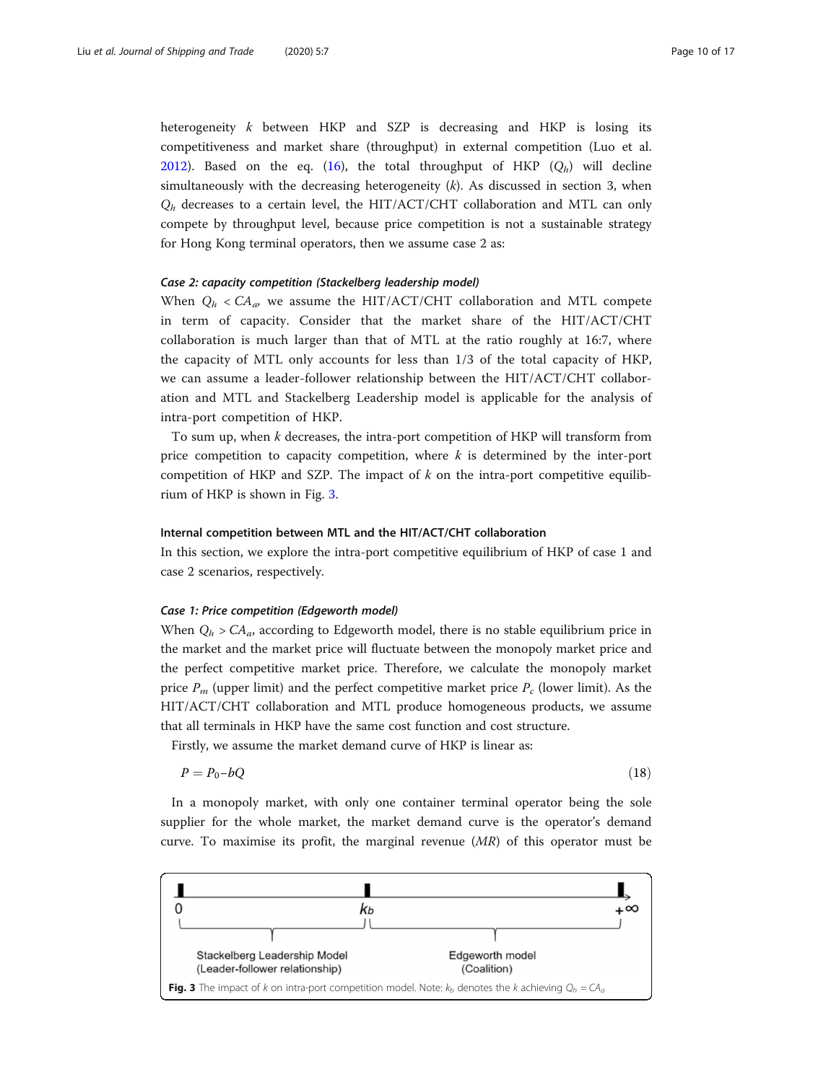<span id="page-9-0"></span>heterogeneity k between HKP and SZP is decreasing and HKP is losing its competitiveness and market share (throughput) in external competition (Luo et al. [2012](#page-16-0)). Based on the eq. ([16\)](#page-8-0), the total throughput of HKP  $(Q_h)$  will decline simultaneously with the decreasing heterogeneity  $(k)$ . As discussed in section 3, when  $Q_h$  decreases to a certain level, the HIT/ACT/CHT collaboration and MTL can only compete by throughput level, because price competition is not a sustainable strategy for Hong Kong terminal operators, then we assume case 2 as:

# Case 2: capacity competition (Stackelberg leadership model)

When  $Q_h < CA_{\alpha}$ , we assume the HIT/ACT/CHT collaboration and MTL compete in term of capacity. Consider that the market share of the HIT/ACT/CHT collaboration is much larger than that of MTL at the ratio roughly at 16:7, where the capacity of MTL only accounts for less than 1/3 of the total capacity of HKP, we can assume a leader-follower relationship between the HIT/ACT/CHT collaboration and MTL and Stackelberg Leadership model is applicable for the analysis of intra-port competition of HKP.

To sum up, when  $k$  decreases, the intra-port competition of HKP will transform from price competition to capacity competition, where  $k$  is determined by the inter-port competition of HKP and SZP. The impact of  $k$  on the intra-port competitive equilibrium of HKP is shown in Fig. 3.

#### Internal competition between MTL and the HIT/ACT/CHT collaboration

In this section, we explore the intra-port competitive equilibrium of HKP of case 1 and case 2 scenarios, respectively.

#### Case 1: Price competition (Edgeworth model)

When  $Q_h > CA_a$ , according to Edgeworth model, there is no stable equilibrium price in the market and the market price will fluctuate between the monopoly market price and the perfect competitive market price. Therefore, we calculate the monopoly market price  $P_m$  (upper limit) and the perfect competitive market price  $P_c$  (lower limit). As the HIT/ACT/CHT collaboration and MTL produce homogeneous products, we assume that all terminals in HKP have the same cost function and cost structure.

Firstly, we assume the market demand curve of HKP is linear as:

$$
P = P_0 - bQ \tag{18}
$$

In a monopoly market, with only one container terminal operator being the sole supplier for the whole market, the market demand curve is the operator's demand curve. To maximise its profit, the marginal revenue  $(MR)$  of this operator must be

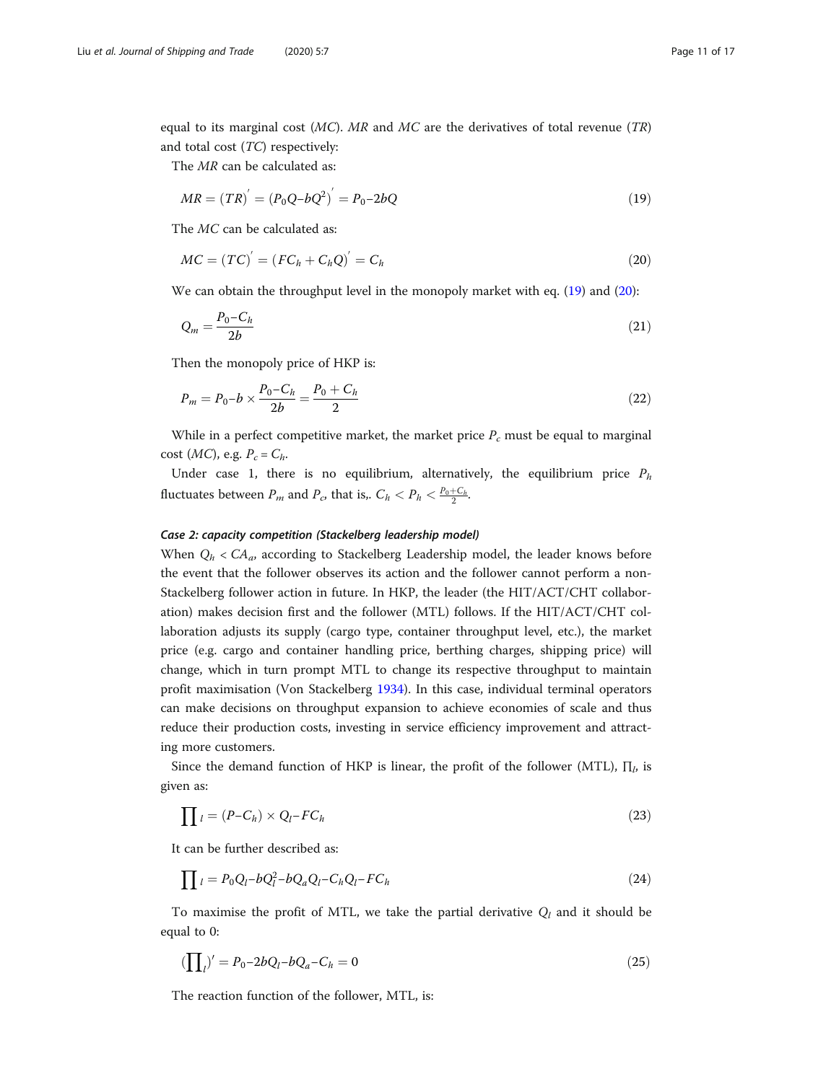equal to its marginal cost ( $MC$ ). MR and MC are the derivatives of total revenue (TR) and total cost (TC) respectively:

The MR can be calculated as:

$$
MR = (TR)^{'} = (P_0Q - bQ^2)^{'} = P_0 - 2bQ \tag{19}
$$

The MC can be calculated as:

$$
MC = (TC)^{'} = (FC_h + C_hQ)^{'} = C_h
$$
\n
$$
(20)
$$

We can obtain the throughput level in the monopoly market with eq. (19) and (20):

$$
Q_m = \frac{P_0 - C_h}{2b} \tag{21}
$$

Then the monopoly price of HKP is:

$$
P_m = P_0 - b \times \frac{P_0 - C_h}{2b} = \frac{P_0 + C_h}{2} \tag{22}
$$

While in a perfect competitive market, the market price  $P_c$  must be equal to marginal cost (*MC*), e.g.  $P_c = C_h$ .

Under case 1, there is no equilibrium, alternatively, the equilibrium price  $P_h$ fluctuates between  $P_m$  and  $P_c$ , that is,.  $C_h < P_h < \frac{P_0 + C_h}{2}$ .

# Case 2: capacity competition (Stackelberg leadership model)

When  $Q_h < CA_a$ , according to Stackelberg Leadership model, the leader knows before the event that the follower observes its action and the follower cannot perform a non-Stackelberg follower action in future. In HKP, the leader (the HIT/ACT/CHT collaboration) makes decision first and the follower (MTL) follows. If the HIT/ACT/CHT collaboration adjusts its supply (cargo type, container throughput level, etc.), the market price (e.g. cargo and container handling price, berthing charges, shipping price) will change, which in turn prompt MTL to change its respective throughput to maintain profit maximisation (Von Stackelberg [1934\)](#page-16-0). In this case, individual terminal operators can make decisions on throughput expansion to achieve economies of scale and thus reduce their production costs, investing in service efficiency improvement and attracting more customers.

Since the demand function of HKP is linear, the profit of the follower (MTL),  $\Pi_b$  is given as:

$$
\prod_{l} = (P - C_h) \times Q_l - FC_h \tag{23}
$$

It can be further described as:

$$
\prod_{l} P_0 Q_l - b Q_l^2 - b Q_a Q_l - C_h Q_l - F C_h \tag{24}
$$

To maximise the profit of MTL, we take the partial derivative  $Q_l$  and it should be equal to 0:

$$
(\prod_{l})' = P_0 - 2bQ_l - bQ_a - C_h = 0 \tag{25}
$$

The reaction function of the follower, MTL, is: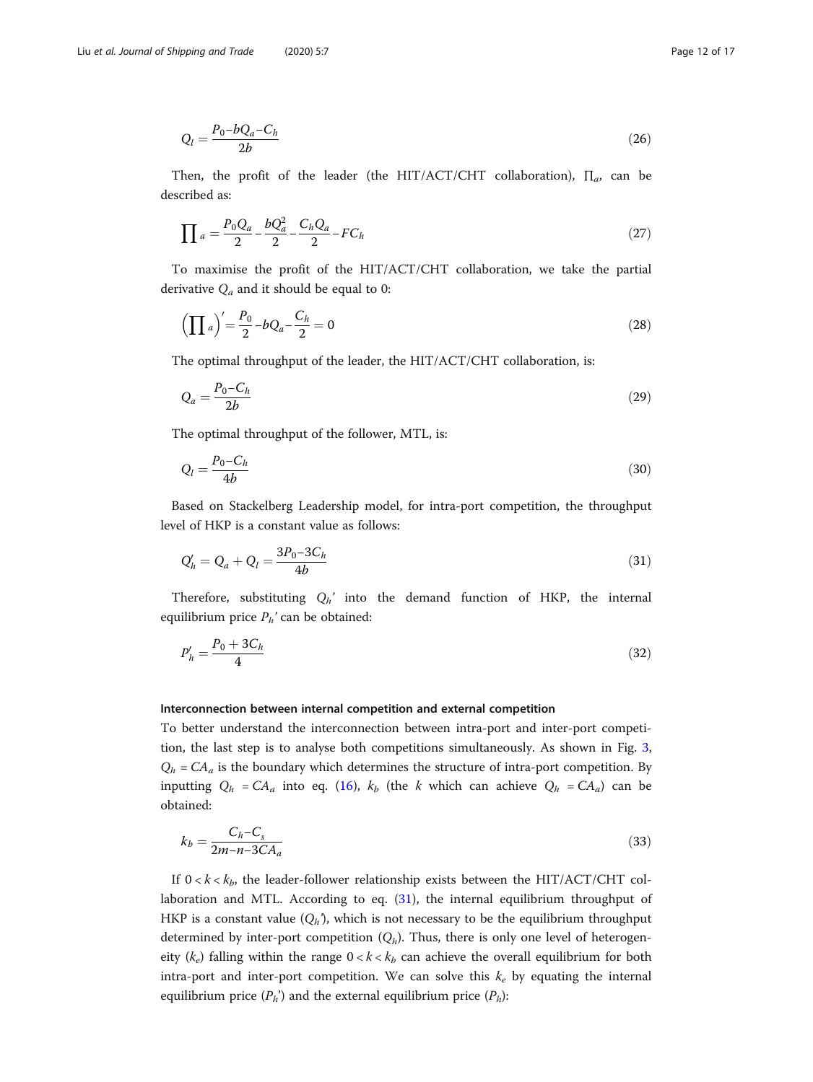$$
Q_l = \frac{P_0 - bQ_a - C_h}{2b} \tag{26}
$$

Then, the profit of the leader (the HIT/ACT/CHT collaboration),  $\prod_{a}$ , can be described as:

$$
\prod_{a} = \frac{P_0 Q_a}{2} - \frac{bQ_a^2}{2} - \frac{C_h Q_a}{2} - FC_h \tag{27}
$$

To maximise the profit of the HIT/ACT/CHT collaboration, we take the partial derivative  $Q_a$  and it should be equal to 0:

$$
\left(\prod a\right)' = \frac{P_0}{2} - bQ_a - \frac{C_h}{2} = 0\tag{28}
$$

The optimal throughput of the leader, the HIT/ACT/CHT collaboration, is:

$$
Q_a = \frac{P_0 - C_h}{2b} \tag{29}
$$

The optimal throughput of the follower, MTL, is:

$$
Q_l = \frac{P_0 - C_h}{4b} \tag{30}
$$

Based on Stackelberg Leadership model, for intra-port competition, the throughput level of HKP is a constant value as follows:

$$
Q'_h = Q_a + Q_l = \frac{3P_0 - 3C_h}{4b} \tag{31}
$$

Therefore, substituting  $Q_h$ ' into the demand function of HKP, the internal equilibrium price  $P_h$ ' can be obtained:

$$
P'_h = \frac{P_0 + 3C_h}{4} \tag{32}
$$

### Interconnection between internal competition and external competition

To better understand the interconnection between intra-port and inter-port competition, the last step is to analyse both competitions simultaneously. As shown in Fig. [3](#page-9-0),  $Q_h = CA_a$  is the boundary which determines the structure of intra-port competition. By inputting  $Q_h = CA_a$  into eq. ([16\)](#page-8-0),  $k_b$  (the k which can achieve  $Q_h = CA_a$ ) can be obtained:

$$
k_b = \frac{C_h - C_s}{2m - n - 3CA_a} \tag{33}
$$

If  $0 < k < k_b$ , the leader-follower relationship exists between the HIT/ACT/CHT collaboration and MTL. According to eq. (31), the internal equilibrium throughput of HKP is a constant value  $(Q_h)$ , which is not necessary to be the equilibrium throughput determined by inter-port competition  $(Q_h)$ . Thus, there is only one level of heterogeneity ( $k_e$ ) falling within the range  $0 < k < k_b$  can achieve the overall equilibrium for both intra-port and inter-port competition. We can solve this  $k_e$  by equating the internal equilibrium price  $(P_h)$  and the external equilibrium price  $(P_h)$ :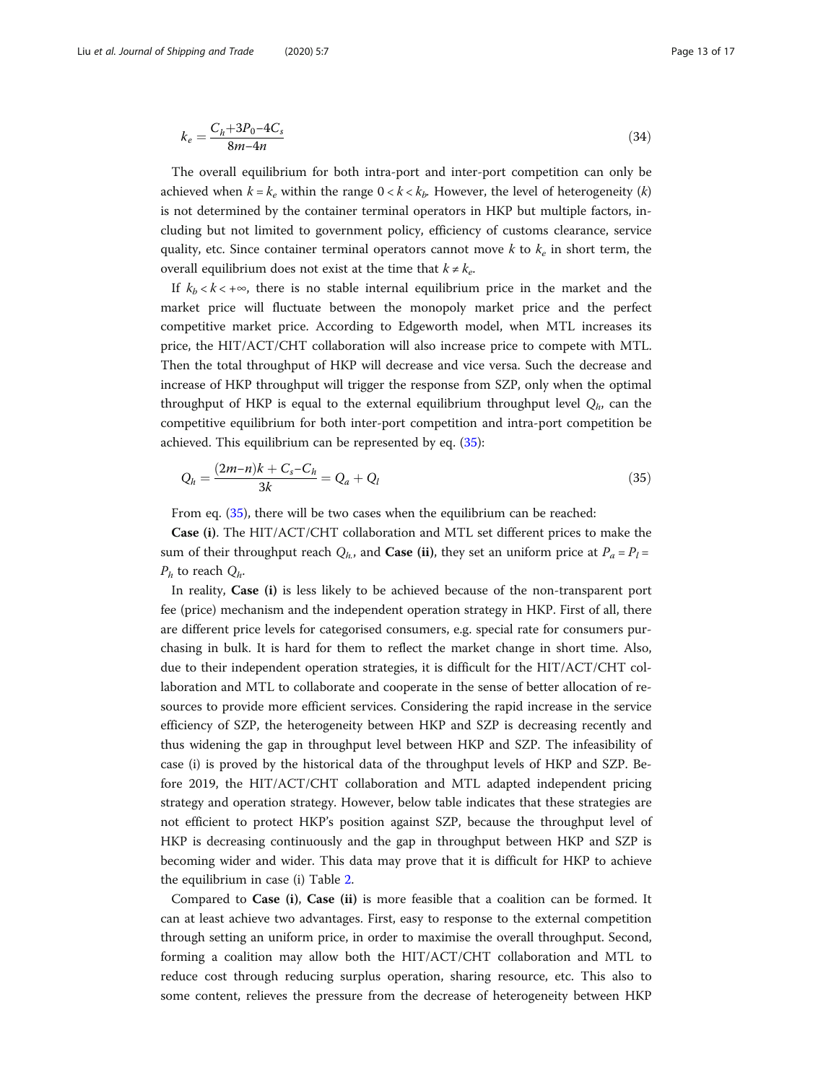$$
k_e = \frac{C_h + 3P_0 - 4C_s}{8m - 4n} \tag{34}
$$

The overall equilibrium for both intra-port and inter-port competition can only be achieved when  $k = k_e$  within the range  $0 < k < k_b$ . However, the level of heterogeneity (k) is not determined by the container terminal operators in HKP but multiple factors, including but not limited to government policy, efficiency of customs clearance, service quality, etc. Since container terminal operators cannot move k to  $k_e$  in short term, the overall equilibrium does not exist at the time that  $k \neq k_e$ .

If  $k_b < k < +\infty$ , there is no stable internal equilibrium price in the market and the market price will fluctuate between the monopoly market price and the perfect competitive market price. According to Edgeworth model, when MTL increases its price, the HIT/ACT/CHT collaboration will also increase price to compete with MTL. Then the total throughput of HKP will decrease and vice versa. Such the decrease and increase of HKP throughput will trigger the response from SZP, only when the optimal throughput of HKP is equal to the external equilibrium throughput level  $Q<sub>h</sub>$ , can the competitive equilibrium for both inter-port competition and intra-port competition be achieved. This equilibrium can be represented by eq. (35):

$$
Q_h = \frac{(2m-n)k + C_s - C_h}{3k} = Q_a + Q_l
$$
\n(35)

From eq. (35), there will be two cases when the equilibrium can be reached:

Case (i). The HIT/ACT/CHT collaboration and MTL set different prices to make the sum of their throughput reach  $Q_h$ , and **Case (ii)**, they set an uniform price at  $P_a = P_l =$  $P_h$  to reach  $Q_h$ .

In reality, Case (i) is less likely to be achieved because of the non-transparent port fee (price) mechanism and the independent operation strategy in HKP. First of all, there are different price levels for categorised consumers, e.g. special rate for consumers purchasing in bulk. It is hard for them to reflect the market change in short time. Also, due to their independent operation strategies, it is difficult for the HIT/ACT/CHT collaboration and MTL to collaborate and cooperate in the sense of better allocation of resources to provide more efficient services. Considering the rapid increase in the service efficiency of SZP, the heterogeneity between HKP and SZP is decreasing recently and thus widening the gap in throughput level between HKP and SZP. The infeasibility of case (i) is proved by the historical data of the throughput levels of HKP and SZP. Before 2019, the HIT/ACT/CHT collaboration and MTL adapted independent pricing strategy and operation strategy. However, below table indicates that these strategies are not efficient to protect HKP's position against SZP, because the throughput level of HKP is decreasing continuously and the gap in throughput between HKP and SZP is becoming wider and wider. This data may prove that it is difficult for HKP to achieve the equilibrium in case (i) Table [2](#page-13-0).

Compared to Case (i), Case (ii) is more feasible that a coalition can be formed. It can at least achieve two advantages. First, easy to response to the external competition through setting an uniform price, in order to maximise the overall throughput. Second, forming a coalition may allow both the HIT/ACT/CHT collaboration and MTL to reduce cost through reducing surplus operation, sharing resource, etc. This also to some content, relieves the pressure from the decrease of heterogeneity between HKP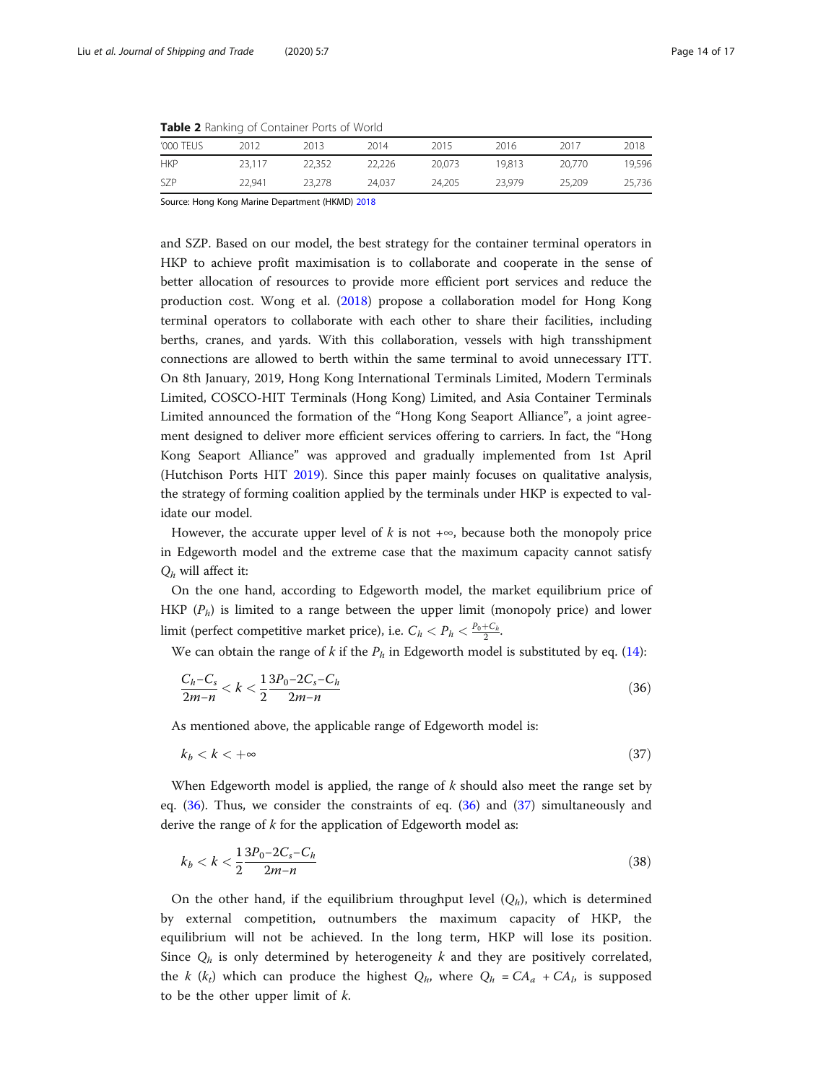<span id="page-13-0"></span>Table 2 Ranking of Container Ports of World

| 2012   | 2013   | 2014   | 2015   | 2016   | 2017   | 2018   |  |  |
|--------|--------|--------|--------|--------|--------|--------|--|--|
| 23.117 | 22.352 | 22.226 | 20.073 | 19.813 | 20.770 | 19.596 |  |  |
| 22.941 | 23.278 | 24.037 | 24.205 | 23.979 | 25,209 | 25.736 |  |  |
|        |        |        |        |        |        |        |  |  |

Source: Hong Kong Marine Department (HKMD) [2018](#page-16-0)

and SZP. Based on our model, the best strategy for the container terminal operators in HKP to achieve profit maximisation is to collaborate and cooperate in the sense of better allocation of resources to provide more efficient port services and reduce the production cost. Wong et al. ([2018](#page-16-0)) propose a collaboration model for Hong Kong terminal operators to collaborate with each other to share their facilities, including berths, cranes, and yards. With this collaboration, vessels with high transshipment connections are allowed to berth within the same terminal to avoid unnecessary ITT. On 8th January, 2019, Hong Kong International Terminals Limited, Modern Terminals Limited, COSCO-HIT Terminals (Hong Kong) Limited, and Asia Container Terminals Limited announced the formation of the "Hong Kong Seaport Alliance", a joint agreement designed to deliver more efficient services offering to carriers. In fact, the "Hong Kong Seaport Alliance" was approved and gradually implemented from 1st April (Hutchison Ports HIT [2019\)](#page-16-0). Since this paper mainly focuses on qualitative analysis, the strategy of forming coalition applied by the terminals under HKP is expected to validate our model.

However, the accurate upper level of k is not  $+\infty$ , because both the monopoly price in Edgeworth model and the extreme case that the maximum capacity cannot satisfy  $Q_h$  will affect it:

On the one hand, according to Edgeworth model, the market equilibrium price of HKP  $(P_h)$  is limited to a range between the upper limit (monopoly price) and lower limit (perfect competitive market price), i.e.  $C_h < P_h < \frac{P_0 + C_h}{2}$ .

We can obtain the range of  $k$  if the  $P_h$  in Edgeworth model is substituted by eq. ([14\)](#page-8-0):

$$
\frac{C_h - C_s}{2m - n} < k < \frac{1}{2} \frac{3P_0 - 2C_s - C_h}{2m - n} \tag{36}
$$

As mentioned above, the applicable range of Edgeworth model is:

$$
k_b < k < +\infty \tag{37}
$$

When Edgeworth model is applied, the range of  $k$  should also meet the range set by eq. (36). Thus, we consider the constraints of eq. (36) and (37) simultaneously and derive the range of  $k$  for the application of Edgeworth model as:

$$
k_b < k < \frac{1}{2} \frac{3P_0 - 2C_s - C_h}{2m - n} \tag{38}
$$

On the other hand, if the equilibrium throughput level  $(Q_h)$ , which is determined by external competition, outnumbers the maximum capacity of HKP, the equilibrium will not be achieved. In the long term, HKP will lose its position. Since  $Q_h$  is only determined by heterogeneity  $k$  and they are positively correlated, the k  $(k_i)$  which can produce the highest  $Q_h$ , where  $Q_h = CA_a + CA_b$  is supposed to be the other upper limit of  $k$ .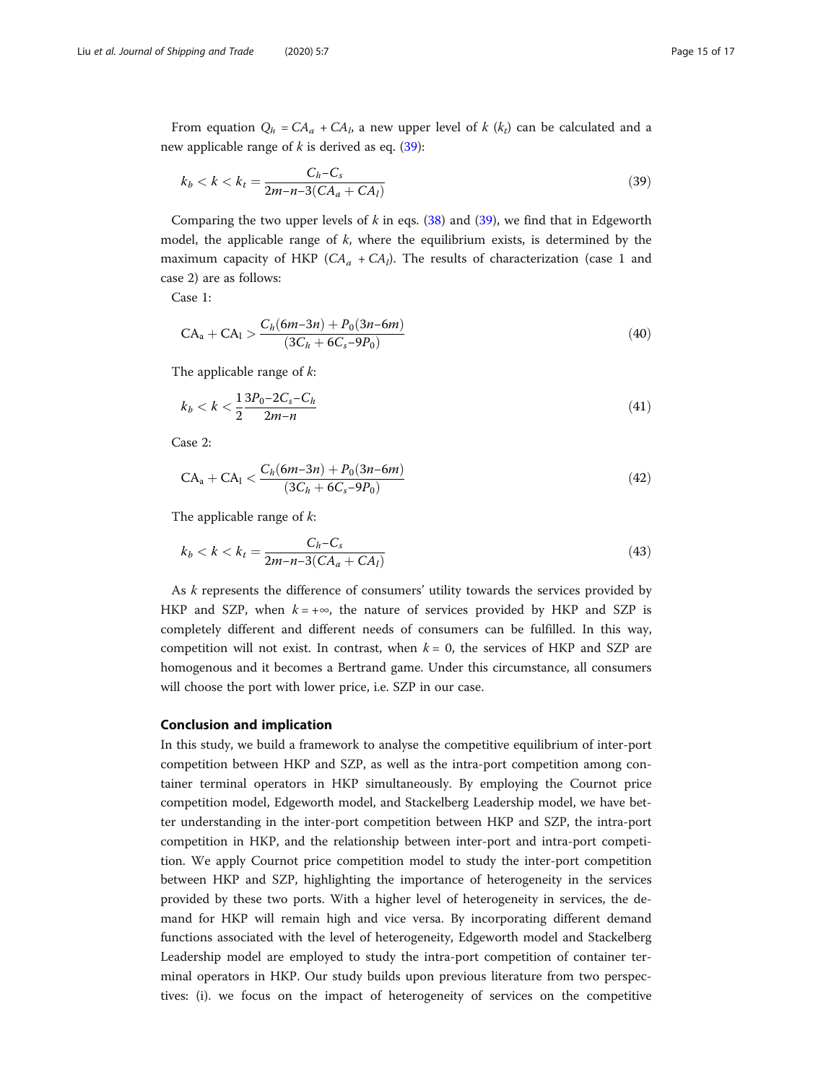From equation  $Q_h = CA_a + CA_b$  a new upper level of k  $(k_t)$  can be calculated and a new applicable range of  $k$  is derived as eq. (39):

$$
k_b < k < k_t = \frac{C_h - C_s}{2m - n - 3(CA_a + CA_l)}\tag{39}
$$

Comparing the two upper levels of  $k$  in eqs. ([38](#page-13-0)) and (39), we find that in Edgeworth model, the applicable range of  $k$ , where the equilibrium exists, is determined by the maximum capacity of HKP ( $CA_a + CA_l$ ). The results of characterization (case 1 and case 2) are as follows:

Case 1:

$$
CAa + CAl > \frac{C_h(6m-3n) + P_0(3n-6m)}{(3C_h + 6C_s - 9P_0)}
$$
\n(40)

The applicable range of  $k$ :

$$
k_b < k < \frac{1}{2} \frac{3P_0 - 2C_s - C_h}{2m - n} \tag{41}
$$

Case 2:

$$
CAa + CAl < \frac{C_h(6m-3n) + P_0(3n-6m)}{(3C_h + 6C_s - 9P_0)}
$$
\n(42)

The applicable range of  $k$ :

$$
k_b < k < k_t = \frac{C_h - C_s}{2m - n - 3(CA_a + CA_l)}\tag{43}
$$

As k represents the difference of consumers' utility towards the services provided by HKP and SZP, when  $k = +\infty$ , the nature of services provided by HKP and SZP is completely different and different needs of consumers can be fulfilled. In this way, competition will not exist. In contrast, when  $k = 0$ , the services of HKP and SZP are homogenous and it becomes a Bertrand game. Under this circumstance, all consumers will choose the port with lower price, i.e. SZP in our case.

# Conclusion and implication

In this study, we build a framework to analyse the competitive equilibrium of inter-port competition between HKP and SZP, as well as the intra-port competition among container terminal operators in HKP simultaneously. By employing the Cournot price competition model, Edgeworth model, and Stackelberg Leadership model, we have better understanding in the inter-port competition between HKP and SZP, the intra-port competition in HKP, and the relationship between inter-port and intra-port competition. We apply Cournot price competition model to study the inter-port competition between HKP and SZP, highlighting the importance of heterogeneity in the services provided by these two ports. With a higher level of heterogeneity in services, the demand for HKP will remain high and vice versa. By incorporating different demand functions associated with the level of heterogeneity, Edgeworth model and Stackelberg Leadership model are employed to study the intra-port competition of container terminal operators in HKP. Our study builds upon previous literature from two perspectives: (i). we focus on the impact of heterogeneity of services on the competitive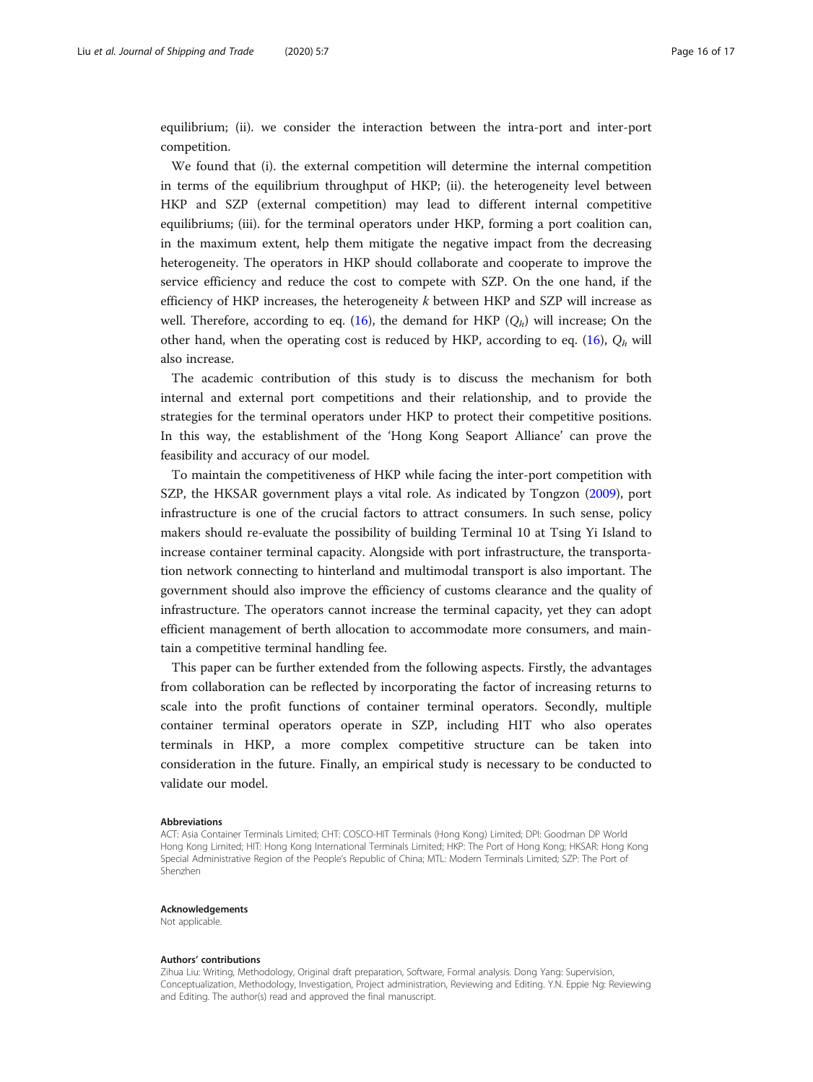equilibrium; (ii). we consider the interaction between the intra-port and inter-port competition.

We found that (i). the external competition will determine the internal competition in terms of the equilibrium throughput of HKP; (ii). the heterogeneity level between HKP and SZP (external competition) may lead to different internal competitive equilibriums; (iii). for the terminal operators under HKP, forming a port coalition can, in the maximum extent, help them mitigate the negative impact from the decreasing heterogeneity. The operators in HKP should collaborate and cooperate to improve the service efficiency and reduce the cost to compete with SZP. On the one hand, if the efficiency of HKP increases, the heterogeneity k between HKP and SZP will increase as well. Therefore, according to eq. ([16\)](#page-8-0), the demand for HKP  $(Q_h)$  will increase; On the other hand, when the operating cost is reduced by HKP, according to eq. ([16\)](#page-8-0),  $Q_h$  will also increase.

The academic contribution of this study is to discuss the mechanism for both internal and external port competitions and their relationship, and to provide the strategies for the terminal operators under HKP to protect their competitive positions. In this way, the establishment of the 'Hong Kong Seaport Alliance' can prove the feasibility and accuracy of our model.

To maintain the competitiveness of HKP while facing the inter-port competition with SZP, the HKSAR government plays a vital role. As indicated by Tongzon ([2009](#page-16-0)), port infrastructure is one of the crucial factors to attract consumers. In such sense, policy makers should re-evaluate the possibility of building Terminal 10 at Tsing Yi Island to increase container terminal capacity. Alongside with port infrastructure, the transportation network connecting to hinterland and multimodal transport is also important. The government should also improve the efficiency of customs clearance and the quality of infrastructure. The operators cannot increase the terminal capacity, yet they can adopt efficient management of berth allocation to accommodate more consumers, and maintain a competitive terminal handling fee.

This paper can be further extended from the following aspects. Firstly, the advantages from collaboration can be reflected by incorporating the factor of increasing returns to scale into the profit functions of container terminal operators. Secondly, multiple container terminal operators operate in SZP, including HIT who also operates terminals in HKP, a more complex competitive structure can be taken into consideration in the future. Finally, an empirical study is necessary to be conducted to validate our model.

#### Abbreviations

#### Acknowledgements

Not applicable.

#### Authors' contributions

Zihua Liu: Writing, Methodology, Original draft preparation, Software, Formal analysis. Dong Yang: Supervision, Conceptualization, Methodology, Investigation, Project administration, Reviewing and Editing. Y.N. Eppie Ng: Reviewing and Editing. The author(s) read and approved the final manuscript.

ACT: Asia Container Terminals Limited; CHT: COSCO-HIT Terminals (Hong Kong) Limited; DPI: Goodman DP World Hong Kong Limited; HIT: Hong Kong International Terminals Limited; HKP: The Port of Hong Kong; HKSAR: Hong Kong Special Administrative Region of the People's Republic of China; MTL: Modern Terminals Limited; SZP: The Port of Shenzhen